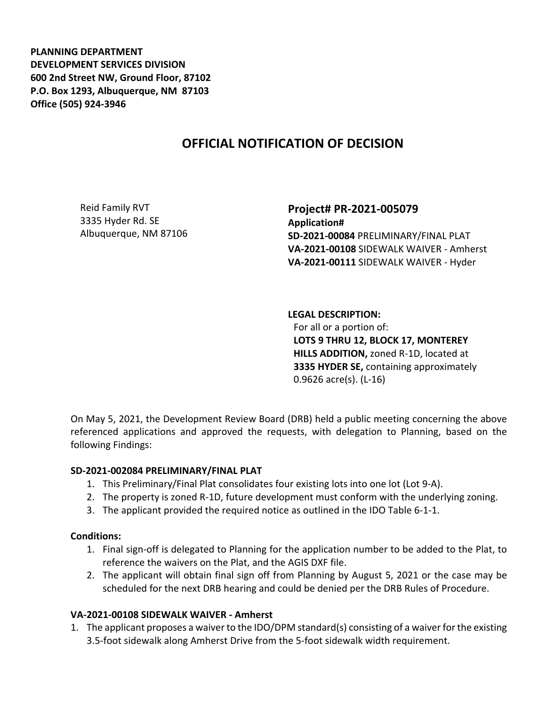**PLANNING DEPARTMENT DEVELOPMENT SERVICES DIVISION 600 2nd Street NW, Ground Floor, 87102 P.O. Box 1293, Albuquerque, NM 87103 Office (505) 924-3946** 

# **OFFICIAL NOTIFICATION OF DECISION**

Reid Family RVT 3335 Hyder Rd. SE Albuquerque, NM 87106 **Project# PR-2021-005079 Application# SD-2021-00084** PRELIMINARY/FINAL PLAT **VA-2021-00108** SIDEWALK WAIVER - Amherst **VA-2021-00111** SIDEWALK WAIVER - Hyder

**LEGAL DESCRIPTION:**

For all or a portion of: **LOTS 9 THRU 12, BLOCK 17, MONTEREY HILLS ADDITION,** zoned R-1D, located at **3335 HYDER SE,** containing approximately 0.9626 acre(s). (L-16)

On May 5, 2021, the Development Review Board (DRB) held a public meeting concerning the above referenced applications and approved the requests, with delegation to Planning, based on the following Findings:

## **SD-2021-002084 PRELIMINARY/FINAL PLAT**

- 1. This Preliminary/Final Plat consolidates four existing lots into one lot (Lot 9-A).
- 2. The property is zoned R-1D, future development must conform with the underlying zoning.
- 3. The applicant provided the required notice as outlined in the IDO Table 6-1-1.

## **Conditions:**

- 1. Final sign-off is delegated to Planning for the application number to be added to the Plat, to reference the waivers on the Plat, and the AGIS DXF file.
- 2. The applicant will obtain final sign off from Planning by August 5, 2021 or the case may be scheduled for the next DRB hearing and could be denied per the DRB Rules of Procedure.

## **VA-2021-00108 SIDEWALK WAIVER - Amherst**

1. The applicant proposes a waiver to the IDO/DPM standard(s) consisting of a waiver for the existing 3.5-foot sidewalk along Amherst Drive from the 5-foot sidewalk width requirement.